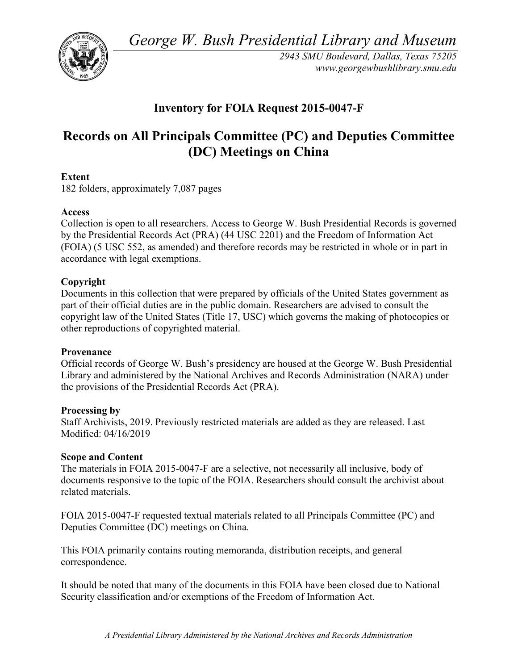*George W. Bush Presidential Library and Museum* 



 *2943 SMU Boulevard, Dallas, Texas 75205 <www.georgewbushlibrary.smu.edu>*

## **Inventory for FOIA Request 2015-0047-F**

## **Records on All Principals Committee (PC) and Deputies Committee (DC) Meetings on China**

## **Extent**

182 folders, approximately 7,087 pages

## **Access**

 by the Presidential Records Act (PRA) (44 USC 2201) and the Freedom of Information Act Collection is open to all researchers. Access to George W. Bush Presidential Records is governed (FOIA) (5 USC 552, as amended) and therefore records may be restricted in whole or in part in accordance with legal exemptions.

## **Copyright**

 Documents in this collection that were prepared by officials of the United States government as part of their official duties are in the public domain. Researchers are advised to consult the copyright law of the United States (Title 17, USC) which governs the making of photocopies or other reproductions of copyrighted material.

## **Provenance**

 Official records of George W. Bush's presidency are housed at the George W. Bush Presidential Library and administered by the National Archives and Records Administration (NARA) under the provisions of the Presidential Records Act (PRA).

## **Processing by**

Staff Archivists, 2019. Previously restricted materials are added as they are released. Last Modified: 04/16/2019

## **Scope and Content**

The materials in FOIA 2015-0047-F are a selective, not necessarily all inclusive, body of documents responsive to the topic of the FOIA. Researchers should consult the archivist about related materials.

 FOIA 2015-0047-F requested textual materials related to all Principals Committee (PC) and Deputies Committee (DC) meetings on China.

correspondence. This FOIA primarily contains routing memoranda, distribution receipts, and general

It should be noted that many of the documents in this FOIA have been closed due to National Security classification and/or exemptions of the Freedom of Information Act.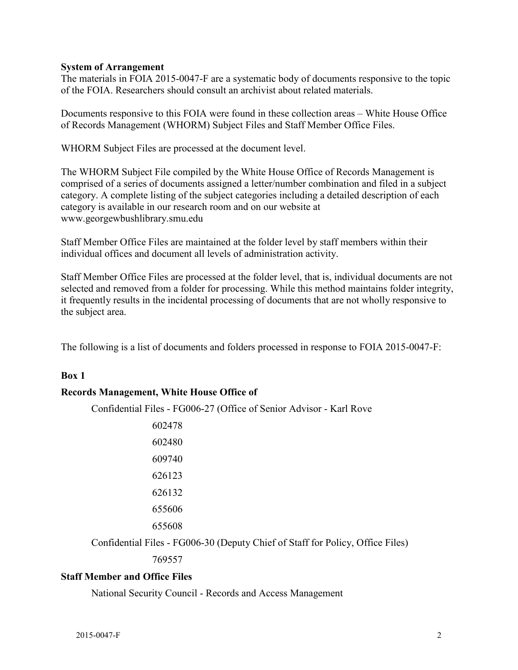### **System of Arrangement**

 The materials in FOIA 2015-0047-F are a systematic body of documents responsive to the topic of the FOIA. Researchers should consult an archivist about related materials.

of the FOIA. Researchers should consult an archivist about related materials.<br>Documents responsive to this FOIA were found in these collection areas – White House Office of Records Management (WHORM) Subject Files and Staff Member Office Files.

WHORM Subject Files are processed at the document level.

The WHORM Subject File compiled by the White House Office of Records Management is comprised of a series of documents assigned a letter/number combination and filed in a subject category. A complete listing of the subject categories including a detailed description of each category is available in our research room and on our website at <www.georgewbushlibrary.smu.edu>

individual offices and document all levels of administration activity. Staff Member Office Files are maintained at the folder level by staff members within their

Staff Member Office Files are processed at the folder level, that is, individual documents are not selected and removed from a folder for processing. While this method maintains folder integrity, it frequently results in the incidental processing of documents that are not wholly responsive to the subject area.

The following is a list of documents and folders processed in response to FOIA 2015-0047-F:

#### **Box 1**

#### **Records Management, White House Office of**

Confidential Files - FG006-27 (Office of Senior Advisor - Karl Rove

| 602478 |
|--------|
| 602480 |
| 609740 |
| 626123 |
| 626132 |
| 655606 |
| 655608 |
|        |

Confidential Files - FG006-30 (Deputy Chief of Staff for Policy, Office Files)

769557

#### **Staff Member and Office Files**

National Security Council - Records and Access Management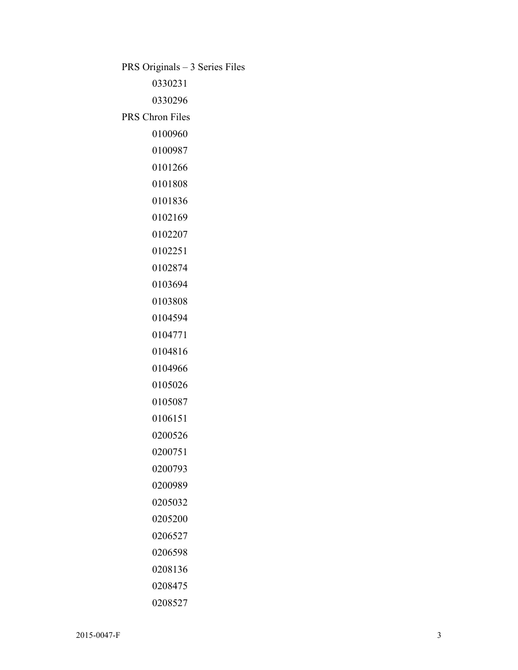PRS Originals – 3 Series Files

PRS Chron Files

 

 

 $2015-0047-F$  3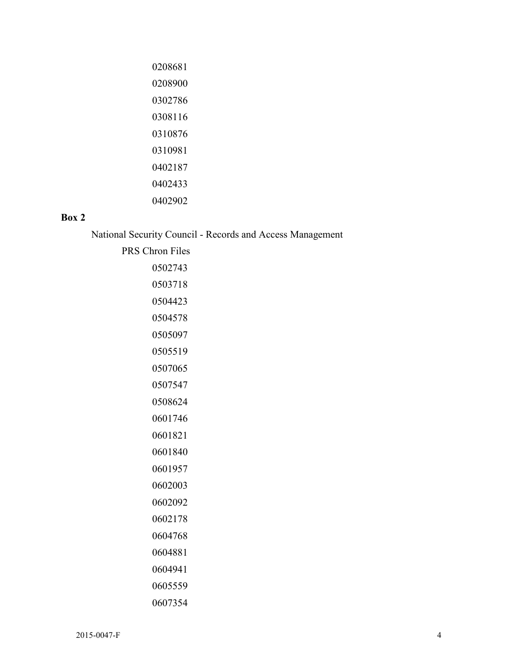| 0208681 |
|---------|
| 0208900 |
| 0302786 |
| 0308116 |
| 0310876 |
| 0310981 |
| 0402187 |
| 0402433 |
| 0402902 |

## **Box 2**

National Security Council - Records and Access Management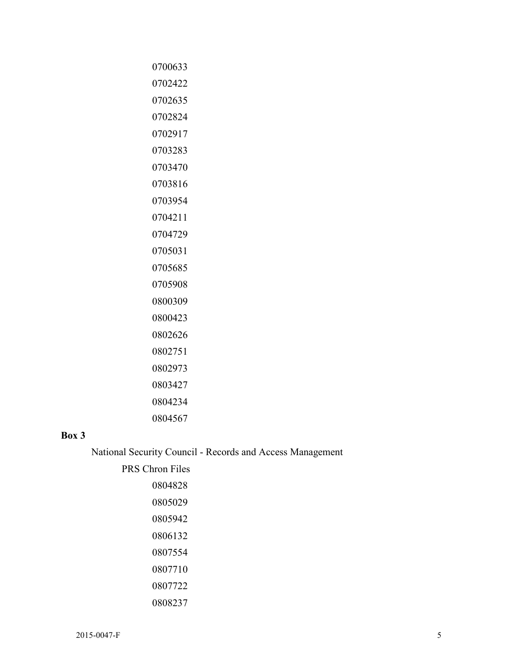# 

## **Box 3**

National Security Council - Records and Access Management

| <b>PRS Chron Files</b> |
|------------------------|
| 0804828                |
| 0805029                |
| 0805942                |
| 0806132                |
| 0807554                |
| 0807710                |
| 0807722                |
| 0808237                |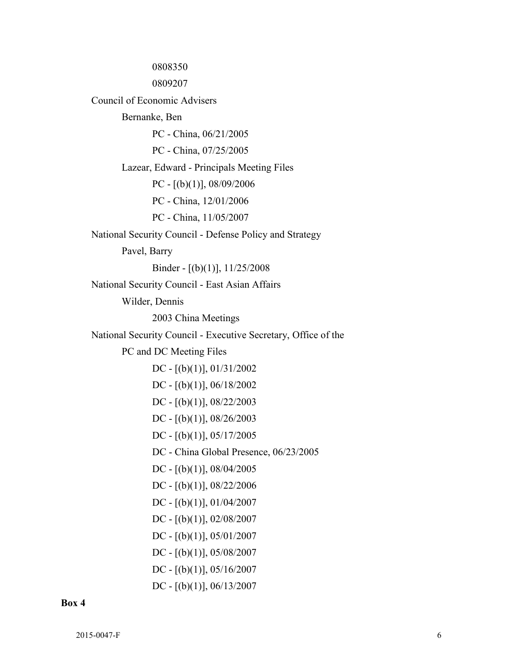PC - China, 11/05/2007 DC - [(b)(1)], 08/04/2005 DC - [(b)(1)], 08/22/2006 0808350 0809207 Council of Economic Advisers Bernanke, Ben PC - China, 06/21/2005 PC - China, 07/25/2005 Lazear, Edward - Principals Meeting Files PC - [(b)(1)], 08/09/2006 PC - China, 12/01/2006 National Security Council - Defense Policy and Strategy Pavel, Barry Binder - [(b)(1)], 11/25/2008 National Security Council - East Asian Affairs Wilder, Dennis 2003 China Meetings National Security Council - Executive Secretary, Office of the PC and DC Meeting Files DC -  $[(b)(1)]$ , 01/31/2002 DC - [(b)(1)], 06/18/2002 DC - [(b)(1)], 08/22/2003 DC - [(b)(1)], 08/26/2003 DC -  $[(b)(1)]$ , 05/17/2005 DC - China Global Presence, 06/23/2005 DC -  $[(b)(1)]$ , 01/04/2007 DC - [(b)(1)], 02/08/2007 DC -  $[(b)(1)]$ , 05/01/2007 DC - [(b)(1)], 05/08/2007 DC -  $[(b)(1)]$ , 05/16/2007 DC - [(b)(1)], 06/13/2007

#### **Box 4**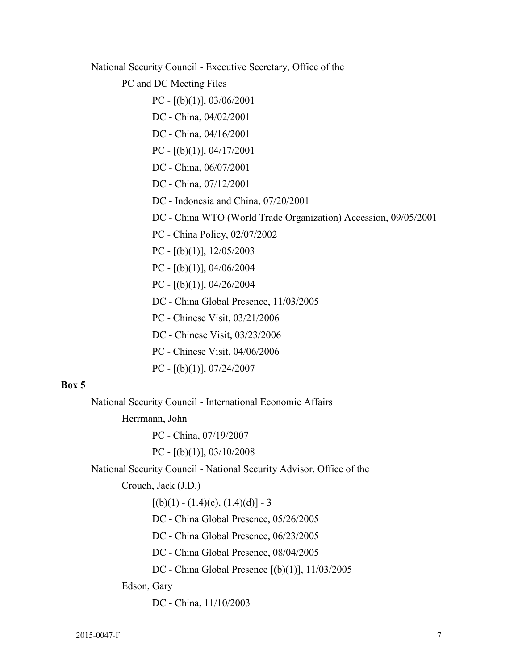National Security Council - Executive Secretary, Office of the

PC and DC Meeting Files

PC -  $[(b)(1)]$ , 03/06/2001

- DC China, 04/02/2001
- DC China, 04/16/2001
- PC  $[(b)(1)]$ , 04/17/2001
- DC China, 06/07/2001
- DC China, 07/12/2001
- DC Indonesia and China, 07/20/2001
- DC China WTO (World Trade Organization) Accession, 09/05/2001
- PC China Policy, 02/07/2002
- PC [(b)(1)], 12/05/2003
- PC [(b)(1)], 04/06/2004
- PC [(b)(1)], 04/26/2004
- DC China Global Presence, 11/03/2005
- PC Chinese Visit, 03/21/2006
- DC Chinese Visit, 03/23/2006
- PC Chinese Visit, 04/06/2006
- PC  $[(b)(1)]$ , 07/24/2007

#### **Box 5**

National Security Council - International Economic Affairs

Herrmann, John

PC - China, 07/19/2007

PC -  $[(b)(1)]$ , 03/10/2008

National Security Council - National Security Advisor, Office of the

Crouch, Jack (J.D.)

 $[(b)(1) - (1.4)(c), (1.4)(d)] - 3$ 

DC - China Global Presence, 05/26/2005

DC - China Global Presence, 06/23/2005

DC - China Global Presence, 08/04/2005

DC - China Global Presence [(b)(1)], 11/03/2005

Edson, Gary

DC - China, 11/10/2003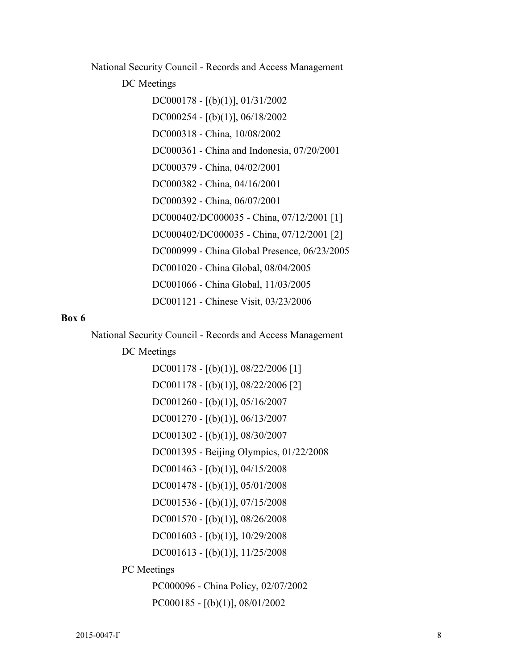National Security Council - Records and Access Management

DC Meetings

DC000178 - [(b)(1)], 01/31/2002 DC000254 - [(b)(1)], 06/18/2002 DC000318 - China, 10/08/2002 DC000361 - China and Indonesia, 07/20/2001 DC000379 - China, 04/02/2001 DC000382 - China, 04/16/2001 DC000392 - China, 06/07/2001 DC000402/DC000035 - China, 07/12/2001 [1] DC000402/DC000035 - China, 07/12/2001 [2] DC000999 - China Global Presence, 06/23/2005 DC001020 - China Global, 08/04/2005 DC001066 - China Global, 11/03/2005 DC001121 - Chinese Visit, 03/23/2006

#### **Box 6**

National Security Council - Records and Access Management

DC Meetings

DC001178 - [(b)(1)], 08/22/2006 [1] DC001178 - [(b)(1)], 08/22/2006 [2] DC001260 - [(b)(1)], 05/16/2007 DC001270 - [(b)(1)], 06/13/2007 DC001302 - [(b)(1)], 08/30/2007 DC001395 - Beijing Olympics, 01/22/2008 DC001463 - [(b)(1)], 04/15/2008 DC001478 - [(b)(1)], 05/01/2008 DC001536 - [(b)(1)], 07/15/2008 DC001570 - [(b)(1)], 08/26/2008 DC001603 - [(b)(1)], 10/29/2008 DC001613 - [(b)(1)], 11/25/2008 PC Meetings

> PC000096 - China Policy, 02/07/2002 PC000185 - [(b)(1)], 08/01/2002